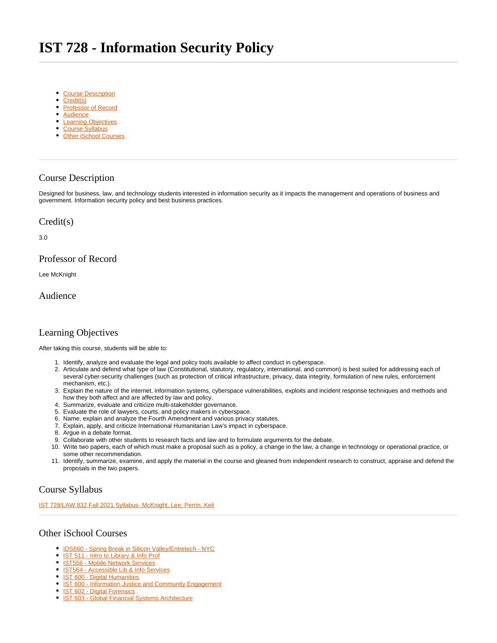# <span id="page-0-7"></span>**IST 728 - Information Security Policy**

- [Course Description](#page-0-0)
- [Credit\(s\)](#page-0-1)
- [Professor of Record](#page-0-2)
- [Audience](#page-0-3)
- [Learning Objectives](#page-0-4)
- [Course Syllabus](#page-0-5)
- [Other iSchool Courses](#page-0-6)

### <span id="page-0-0"></span>Course Description

Designed for business, law, and technology students interested in information security as it impacts the management and operations of business and government. Information security policy and best business practices.

#### <span id="page-0-1"></span>Credit(s)

3.0

#### <span id="page-0-2"></span>Professor of Record

Lee McKnight

<span id="page-0-3"></span>Audience

## <span id="page-0-4"></span>Learning Objectives

After taking this course, students will be able to:

- 1. Identify, analyze and evaluate the legal and policy tools available to affect conduct in cyberspace.
- 2. Articulate and defend what type of law (Constitutional, statutory, regulatory, international, and common) is best suited for addressing each of several cyber-security challenges (such as protection of critical infrastructure, privacy, data integrity, formulation of new rules, enforcement mechanism, etc.).
- 3. Explain the nature of the internet, information systems, cyberspace vulnerabilities, exploits and incident response techniques and methods and how they both affect and are affected by law and policy.
- 4. Summarize, evaluate and criticize multi-stakeholder governance.
- 5. Evaluate the role of lawyers, courts, and policy makers in cyberspace.
- 6. Name, explain and analyze the Fourth Amendment and various privacy statutes.
- 7. Explain, apply, and criticize International Humanitarian Law's impact in cyberspace.
- 8. Argue in a debate format.
- 9. Collaborate with other students to research facts and law and to formulate arguments for the debate.
- 10. Write two papers, each of which must make a proposal such as a policy, a change in the law, a change in technology or operational practice, or some other recommendation.
- 11. Identify, summarize, examine, and apply the material in the course and gleaned from independent research to construct, appraise and defend the proposals in the two papers.

## <span id="page-0-5"></span>Course Syllabus

[IST 728/LAW 832 Fall 2021 Syllabus- McKnight, Lee; Perrin, Keli](https://sumailsyr.sharepoint.com/:w:/s/iSchool2/Eb77JbeRSmVNtlXLS5FWSOMBEQWU_Doe9gGmNlJI017OWg?e=neUgb2)

#### <span id="page-0-6"></span>Other iSchool Courses

- [IDS660 Spring Break in Silicon Valley/Entretech NYC](https://answers.syr.edu/pages/viewpage.action?pageId=105105587)  $\bullet$
- <sup>o</sup> [IST 511 Intro to Library & Info Prof](https://answers.syr.edu/pages/viewpage.action?pageId=105104273)
- [IST556 Mobile Network Services](https://answers.syr.edu/display/ischool/IST556+-+Mobile+Network+Services)
- **[IST564 Accessible Lib & Info Services](https://answers.syr.edu/pages/viewpage.action?pageId=105104276)**
- **[IST 600 Digital Humanities](https://answers.syr.edu/display/ischool/IST+600+-+Digital+Humanities)**
- <sup>•</sup> [IST 600 Information Justice and Community Engagement](https://answers.syr.edu/display/ischool/IST+600+-+Information+Justice+and+Community+Engagement)
- $\bullet$ [IST 602 - Digital Forensics](https://answers.syr.edu/display/ischool/IST+602+-+Digital+Forensics)
- **[IST 603 Global Financial Systems Architecture](https://answers.syr.edu/display/ischool/IST+603+-+Global+Financial+Systems+Architecture)**